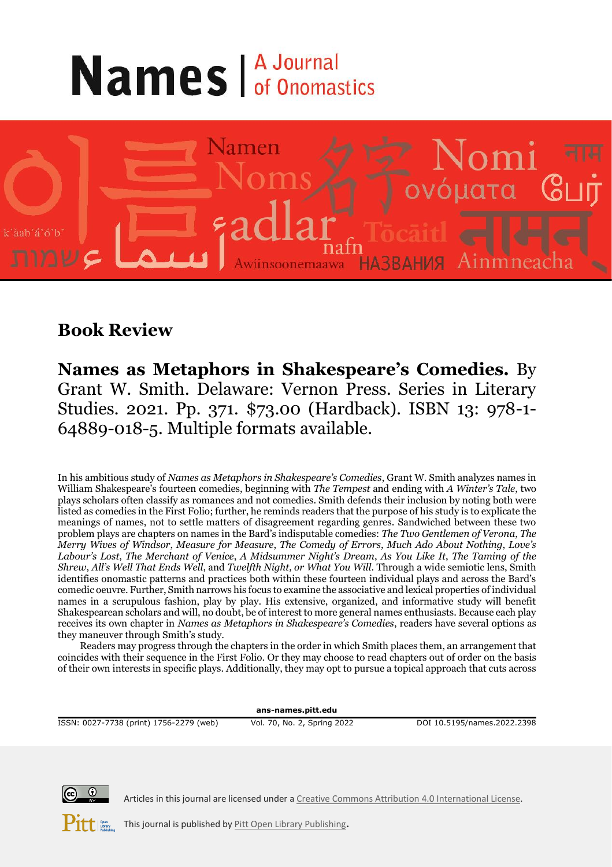## **Names A Journal**



## **Book Review**

**Names as Metaphors in Shakespeare's Comedies.** By Grant W. Smith. Delaware: Vernon Press. Series in Literary Studies. 2021. Pp. 371. \$73.00 (Hardback). ISBN 13: 978-1- 64889-018-5. Multiple formats available.

In his ambitious study of *Names as Metaphors in Shakespeare's Comedies*, Grant W. Smith analyzes names in William Shakespeare's fourteen comedies, beginning with *The Tempest* and ending with *A Winter's Tale*, two plays scholars often classify as romances and not comedies. Smith defends their inclusion by noting both were listed as comedies in the First Folio; further, he reminds readers that the purpose of his study is to explicate the meanings of names, not to settle matters of disagreement regarding genres. Sandwiched between these two problem plays are chapters on names in the Bard's indisputable comedies: *The Two Gentlemen of Verona*, *The Merry Wives of Windsor*, *Measure for Measure*, *The Comedy of Errors*, *Much Ado About Nothing*, *Love's Labour's Lost*, *The Merchant of Venice*, *A Midsummer Night's Dream*, *As You Like It*, *The Taming of the Shrew*, *All's Well That Ends Well*, and *Twelfth Night, or What You Will*. Through a wide semiotic lens, Smith identifies onomastic patterns and practices both within these fourteen individual plays and across the Bard's comedic oeuvre. Further, Smith narrows his focus to examine the associative and lexical properties of individual names in a scrupulous fashion, play by play. His extensive, organized, and informative study will benefit Shakespearean scholars and will, no doubt, be of interest to more general names enthusiasts. Because each play receives its own chapter in *Names as Metaphors in Shakespeare's Comedies*, readers have several options as they maneuver through Smith's study.

Readers may progress through the chapters in the order in which Smith places them, an arrangement that coincides with their sequence in the First Folio. Or they may choose to read chapters out of order on the basis of their own interests in specific plays. Additionally, they may opt to pursue a topical approach that cuts across

**ans-names.pitt.edu**

ISSN: 0027-7738 (print) 1756-2279 (web) Vol. 70, No. 2, Spring 2022 DOI 10.5195/names.2022.2398



Articles in this journal are licensed under [a Creative Commons Attribution 4.0 International License.](https://creativecommons.org/licenses/by/4.0/)

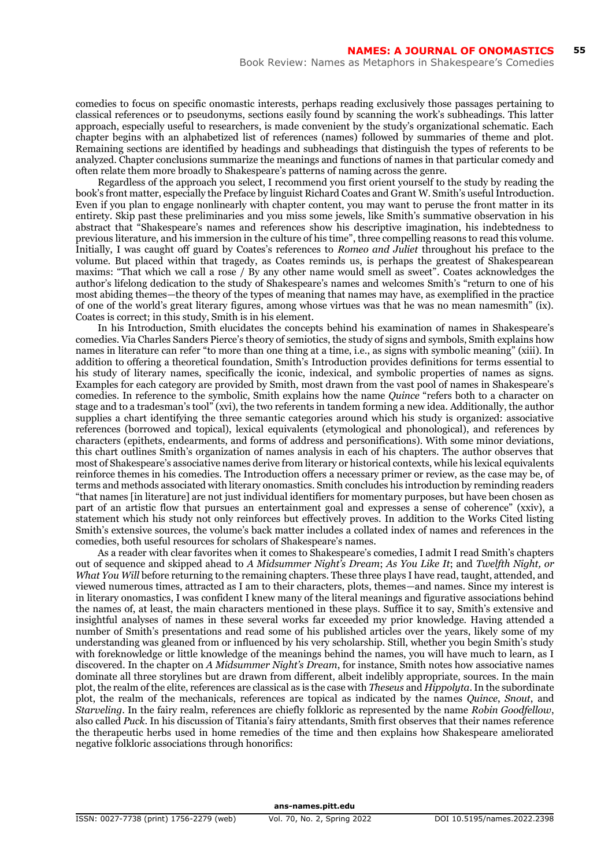comedies to focus on specific onomastic interests, perhaps reading exclusively those passages pertaining to classical references or to pseudonyms, sections easily found by scanning the work's subheadings. This latter approach, especially useful to researchers, is made convenient by the study's organizational schematic. Each chapter begins with an alphabetized list of references (names) followed by summaries of theme and plot. Remaining sections are identified by headings and subheadings that distinguish the types of referents to be analyzed. Chapter conclusions summarize the meanings and functions of names in that particular comedy and often relate them more broadly to Shakespeare's patterns of naming across the genre.

Regardless of the approach you select, I recommend you first orient yourself to the study by reading the book's front matter, especially the Preface by linguist Richard Coates and Grant W. Smith's useful Introduction. Even if you plan to engage nonlinearly with chapter content, you may want to peruse the front matter in its entirety. Skip past these preliminaries and you miss some jewels, like Smith's summative observation in his abstract that "Shakespeare's names and references show his descriptive imagination, his indebtedness to previous literature, and his immersion in the culture of his time", three compelling reasons to read this volume. Initially, I was caught off guard by Coates's references to *Romeo and Juliet* throughout his preface to the volume. But placed within that tragedy, as Coates reminds us, is perhaps the greatest of Shakespearean maxims: "That which we call a rose / By any other name would smell as sweet". Coates acknowledges the author's lifelong dedication to the study of Shakespeare's names and welcomes Smith's "return to one of his most abiding themes—the theory of the types of meaning that names may have, as exemplified in the practice of one of the world's great literary figures, among whose virtues was that he was no mean namesmith" (ix). Coates is correct; in this study, Smith is in his element.

In his Introduction, Smith elucidates the concepts behind his examination of names in Shakespeare's comedies. Via Charles Sanders Pierce's theory of semiotics, the study of signs and symbols, Smith explains how names in literature can refer "to more than one thing at a time, i.e., as signs with symbolic meaning" (xiii). In addition to offering a theoretical foundation, Smith's Introduction provides definitions for terms essential to his study of literary names, specifically the iconic, indexical, and symbolic properties of names as signs. Examples for each category are provided by Smith, most drawn from the vast pool of names in Shakespeare's comedies. In reference to the symbolic, Smith explains how the name *Quince* "refers both to a character on stage and to a tradesman's tool" (xvi), the two referents in tandem forming a new idea. Additionally, the author supplies a chart identifying the three semantic categories around which his study is organized: associative references (borrowed and topical), lexical equivalents (etymological and phonological), and references by characters (epithets, endearments, and forms of address and personifications). With some minor deviations, this chart outlines Smith's organization of names analysis in each of his chapters. The author observes that most of Shakespeare's associative names derive from literary or historical contexts, while his lexical equivalents reinforce themes in his comedies. The Introduction offers a necessary primer or review, as the case may be, of terms and methods associated with literary onomastics. Smith concludes his introduction by reminding readers "that names [in literature] are not just individual identifiers for momentary purposes, but have been chosen as part of an artistic flow that pursues an entertainment goal and expresses a sense of coherence" (xxiv), a statement which his study not only reinforces but effectively proves. In addition to the Works Cited listing Smith's extensive sources, the volume's back matter includes a collated index of names and references in the comedies, both useful resources for scholars of Shakespeare's names.

As a reader with clear favorites when it comes to Shakespeare's comedies, I admit I read Smith's chapters out of sequence and skipped ahead to *A Midsummer Night's Dream*; *As You Like It*; and *Twelfth Night, or What You Will* before returning to the remaining chapters. These three plays I have read, taught, attended, and viewed numerous times, attracted as I am to their characters, plots, themes—and names. Since my interest is in literary onomastics, I was confident I knew many of the literal meanings and figurative associations behind the names of, at least, the main characters mentioned in these plays. Suffice it to say, Smith's extensive and insightful analyses of names in these several works far exceeded my prior knowledge. Having attended a number of Smith's presentations and read some of his published articles over the years, likely some of my understanding was gleaned from or influenced by his very scholarship. Still, whether you begin Smith's study with foreknowledge or little knowledge of the meanings behind the names, you will have much to learn, as I discovered. In the chapter on *A Midsummer Night's Dream*, for instance, Smith notes how associative names dominate all three storylines but are drawn from different, albeit indelibly appropriate, sources. In the main plot, the realm of the elite, references are classical as is the case with *Theseus* and *Hippolyta*. In the subordinate plot, the realm of the mechanicals, references are topical as indicated by the names *Quince*, *Snout*, and *Starveling*. In the fairy realm, references are chiefly folkloric as represented by the name *Robin Goodfellow*, also called *Puck*. In his discussion of Titania's fairy attendants, Smith first observes that their names reference the therapeutic herbs used in home remedies of the time and then explains how Shakespeare ameliorated negative folkloric associations through honorifics:

**ans-names.pitt.edu**